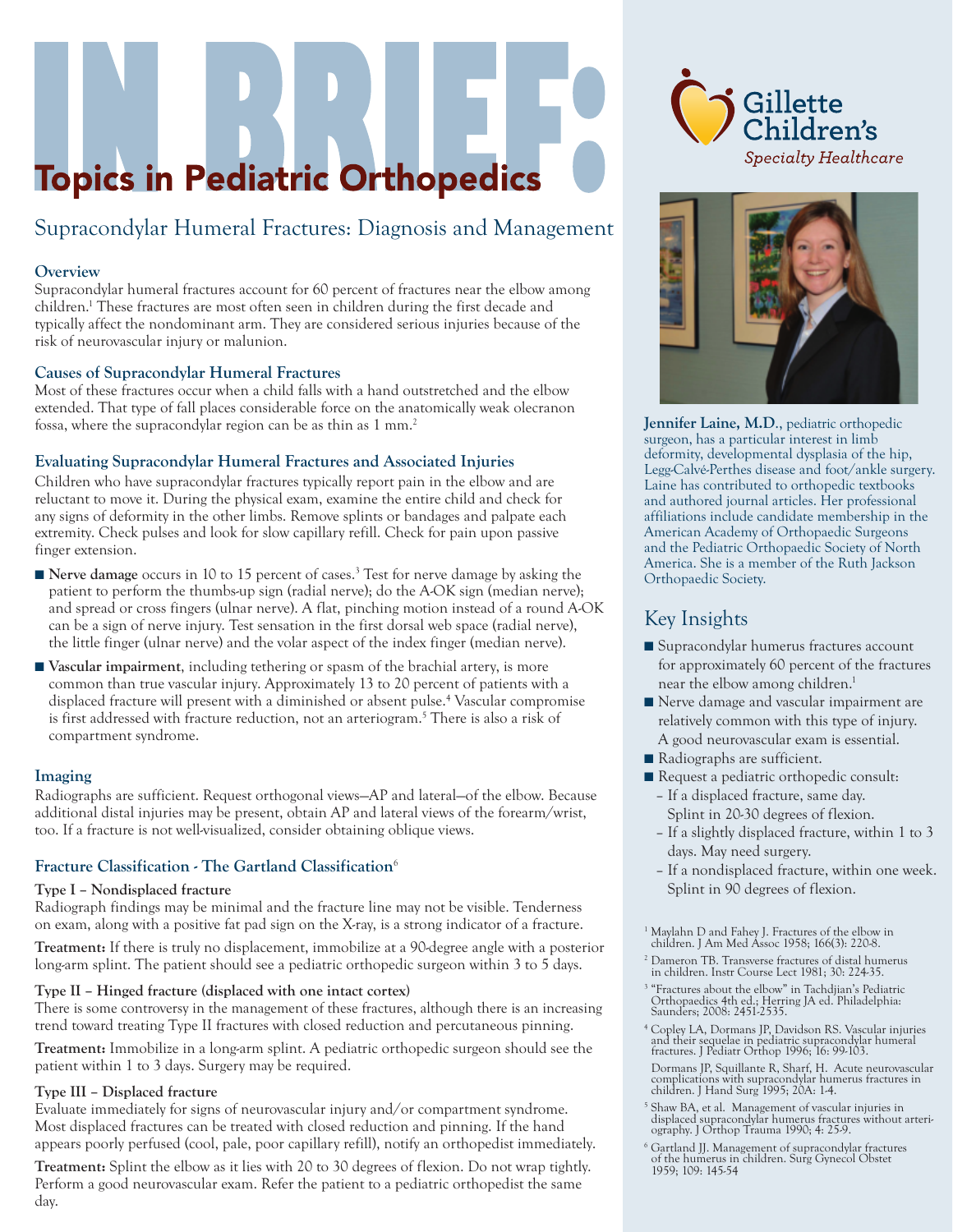# **Topics in Pediatric Orthopedics**

# Supracondylar Humeral Fractures: Diagnosis and Management

#### **Overview**

Supracondylar humeral fractures account for 60 percent of fractures near the elbow among children.1 These fractures are most often seen in children during the first decade and typically affect the nondominant arm. They are considered serious injuries because of the risk of neurovascular injury or malunion.

#### **Causes of Supracondylar Humeral Fractures**

Most of these fractures occur when a child falls with a hand outstretched and the elbow extended. That type of fall places considerable force on the anatomically weak olecranon fossa, where the supracondylar region can be as thin as 1 mm.<sup>2</sup>

#### **Evaluating Supracondylar Humeral Fractures and Associated Injuries**

Children who have supracondylar fractures typically report pain in the elbow and are reluctant to move it. During the physical exam, examine the entire child and check for any signs of deformity in the other limbs. Remove splints or bandages and palpate each extremity. Check pulses and look for slow capillary refill. Check for pain upon passive finger extension.

- **Nerve damage** occurs in 10 to 15 percent of cases.<sup>3</sup> Test for nerve damage by asking the patient to perform the thumbs-up sign (radial nerve); do the A-OK sign (median nerve); and spread or cross fingers (ulnar nerve). A flat, pinching motion instead of a round A-OK can be a sign of nerve injury. Test sensation in the first dorsal web space (radial nerve), the little finger (ulnar nerve) and the volar aspect of the index finger (median nerve).
- **Vascular impairment**, including tethering or spasm of the brachial artery, is more common than true vascular injury. Approximately 13 to 20 percent of patients with a displaced fracture will present with a diminished or absent pulse.4 Vascular compromise is first addressed with fracture reduction, not an arteriogram.<sup>5</sup> There is also a risk of compartment syndrome.

#### **Imaging**

Radiographs are sufficient. Request orthogonal views—AP and lateral—of the elbow. Because additional distal injuries may be present, obtain AP and lateral views of the forearm/wrist, too. If a fracture is not well-visualized, consider obtaining oblique views.

#### **Fracture Classification - The Gartland Classification**<sup>6</sup>

#### **Type I – Nondisplaced fracture**

Radiograph findings may be minimal and the fracture line may not be visible. Tenderness on exam, along with a positive fat pad sign on the X-ray, is a strong indicator of a fracture.

**Treatment:** If there is truly no displacement, immobilize at a 90-degree angle with a posterior long-arm splint. The patient should see a pediatric orthopedic surgeon within 3 to 5 days.

#### **Type II – Hinged fracture (displaced with one intact cortex)**

There is some controversy in the management of these fractures, although there is an increasing trend toward treating Type II fractures with closed reduction and percutaneous pinning.

**Treatment:** Immobilize in a long-arm splint. A pediatric orthopedic surgeon should see the patient within 1 to 3 days. Surgery may be required.

#### **Type III – Displaced fracture**

Evaluate immediately for signs of neurovascular injury and/or compartment syndrome. Most displaced fractures can be treated with closed reduction and pinning. If the hand appears poorly perfused (cool, pale, poor capillary refill), notify an orthopedist immediately.

**Treatment:** Splint the elbow as it lies with 20 to 30 degrees of flexion. Do not wrap tightly. Perform a good neurovascular exam. Refer the patient to a pediatric orthopedist the same day.





**Jennifer Laine, M.D**., pediatric orthopedic surgeon, has a particular interest in limb deformity, developmental dysplasia of the hip, Legg-Calvé-Perthes disease and foot/ankle surgery. Laine has contributed to orthopedic textbooks and authored journal articles. Her professional affiliations include candidate membership in the American Academy of Orthopaedic Surgeons and the Pediatric Orthopaedic Society of North America. She is a member of the Ruth Jackson Orthopaedic Society.

## Key Insights

- Supracondylar humerus fractures account for approximately 60 percent of the fractures near the elbow among children.<sup>1</sup>
- Nerve damage and vascular impairment are relatively common with this type of injury. A good neurovascular exam is essential.
- Radiographs are sufficient.
- Request a pediatric orthopedic consult: – If a displaced fracture, same day.
	- Splint in 20-30 degrees of flexion. – If a slightly displaced fracture, within 1 to 3
	- days. May need surgery.
	- If a nondisplaced fracture, within one week. Splint in 90 degrees of flexion.
- 1 Maylahn D and Fahey J. Fractures of the elbow in children. J Am Med Assoc 1958; 166(3): 220-8.
- 2 Dameron TB. Transverse fractures of distal humerus in children. Instr Course Lect 1981; 30: 224-35.
- 3 "Fractures about the elbow" in Tachdjian's Pediatric Orthopaedics 4th ed.; Herring JA ed. Philadelphia: Saunders; 2008: 2451-2535.
- 4 Copley LA, Dormans JP, Davidson RS. Vascular injuries and their sequelae in pediatric supracondylar humeral fractures. J Pediatr Orthop 1996; 16: 99-103.
- Dormans JP, Squillante R, Sharf, H. Acute neurovascular complications with supracondylar humerus fractures in children. J Hand Surg 1995; 20A: 1-4.
- 5 Shaw BA, et al. Management of vascular injuries in displaced supracondylar humerus fractures without arteri-ography. J Orthop Trauma 1990; 4: 25-9.
- 6 Gartland JJ. Management of supracondylar fractures of the humerus in children. Surg Gynecol Obstet 1959; 109: 145-54